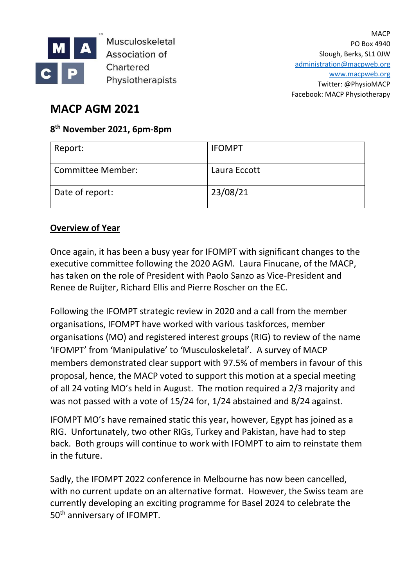

**Musculoskeletal Association of** Chartered Physiotherapists

**MACP** PO Box 4940 Slough, Berks, SL1 0JW [administration@macpweb.org](mailto:administration@macpweb.org) [www.macpweb.org](http://www.macpweb.org/) Twitter: @PhysioMACP Facebook: MACP Physiotherapy

# **MACP AGM 2021**

# **8 th November 2021, 6pm-8pm**

| Report:           | <b>IFOMPT</b> |
|-------------------|---------------|
| Committee Member: | Laura Eccott  |
| Date of report:   | 23/08/21      |

## **Overview of Year**

Once again, it has been a busy year for IFOMPT with significant changes to the executive committee following the 2020 AGM. Laura Finucane, of the MACP, has taken on the role of President with Paolo Sanzo as Vice-President and Renee de Ruijter, Richard Ellis and Pierre Roscher on the EC.

Following the IFOMPT strategic review in 2020 and a call from the member organisations, IFOMPT have worked with various taskforces, member organisations (MO) and registered interest groups (RIG) to review of the name 'IFOMPT' from 'Manipulative' to 'Musculoskeletal'. A survey of MACP members demonstrated clear support with 97.5% of members in favour of this proposal, hence, the MACP voted to support this motion at a special meeting of all 24 voting MO's held in August. The motion required a 2/3 majority and was not passed with a vote of 15/24 for, 1/24 abstained and 8/24 against.

IFOMPT MO's have remained static this year, however, Egypt has joined as a RIG. Unfortunately, two other RIGs, Turkey and Pakistan, have had to step back. Both groups will continue to work with IFOMPT to aim to reinstate them in the future.

Sadly, the IFOMPT 2022 conference in Melbourne has now been cancelled, with no current update on an alternative format. However, the Swiss team are currently developing an exciting programme for Basel 2024 to celebrate the 50<sup>th</sup> anniversary of IFOMPT.